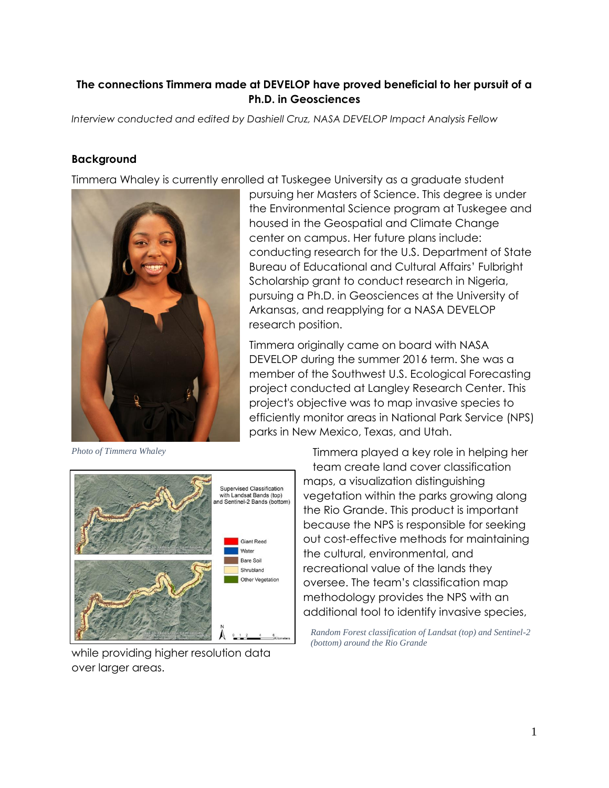#### **The connections Timmera made at DEVELOP have proved beneficial to her pursuit of a Ph.D. in Geosciences**

*Interview conducted and edited by Dashiell Cruz, NASA DEVELOP Impact Analysis Fellow*

#### **Background**

Timmera Whaley is currently enrolled at Tuskegee University as a graduate student



pursuing her Masters of Science. This degree is under the Environmental Science program at Tuskegee and housed in the Geospatial and Climate Change center on campus. Her future plans include: conducting research for the U.S. Department of State Bureau of Educational and Cultural Affairs' Fulbright Scholarship grant to conduct research in Nigeria, pursuing a Ph.D. in Geosciences at the University of Arkansas, and reapplying for a NASA DEVELOP research position.

Timmera originally came on board with NASA DEVELOP during the summer 2016 term. She was a member of the Southwest U.S. Ecological Forecasting project conducted at Langley Research Center. This project's objective was to map invasive species to efficiently monitor areas in National Park Service (NPS) parks in New Mexico, Texas, and Utah.

*Photo of Timmera Whaley*



while providing higher resolution data over larger areas.

Timmera played a key role in helping her team create land cover classification maps, a visualization distinguishing vegetation within the parks growing along the Rio Grande. This product is important because the NPS is responsible for seeking out cost-effective methods for maintaining the cultural, environmental, and recreational value of the lands they oversee. The team's classification map methodology provides the NPS with an additional tool to identify invasive species,

*Random Forest classification of Landsat (top) and Sentinel-2 (bottom) around the Rio Grande*